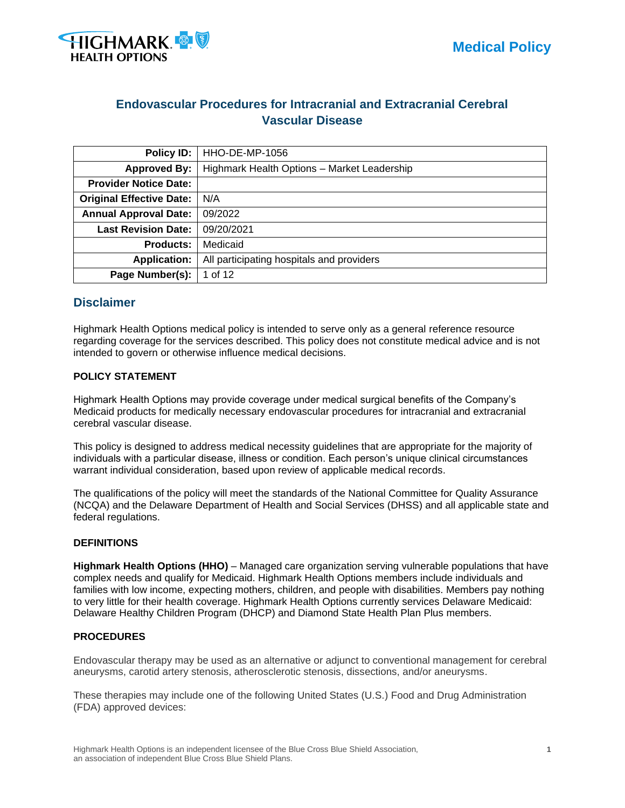

# **Endovascular Procedures for Intracranial and Extracranial Cerebral Vascular Disease**

| Policy ID:                                                       | <b>HHO-DE-MP-1056</b>                       |
|------------------------------------------------------------------|---------------------------------------------|
| <b>Approved By:</b>                                              | Highmark Health Options - Market Leadership |
| <b>Provider Notice Date:</b>                                     |                                             |
| <b>Original Effective Date:</b>                                  | N/A                                         |
| <b>Annual Approval Date:</b>                                     | 09/2022                                     |
| <b>Last Revision Date:</b>                                       | 09/20/2021                                  |
| <b>Products:</b>                                                 | Medicaid                                    |
| All participating hospitals and providers<br><b>Application:</b> |                                             |
| Page Number(s):                                                  | 1 of 12                                     |

## **Disclaimer**

Highmark Health Options medical policy is intended to serve only as a general reference resource regarding coverage for the services described. This policy does not constitute medical advice and is not intended to govern or otherwise influence medical decisions.

## **POLICY STATEMENT**

Highmark Health Options may provide coverage under medical surgical benefits of the Company's Medicaid products for medically necessary endovascular procedures for intracranial and extracranial cerebral vascular disease.

This policy is designed to address medical necessity guidelines that are appropriate for the majority of individuals with a particular disease, illness or condition. Each person's unique clinical circumstances warrant individual consideration, based upon review of applicable medical records.

The qualifications of the policy will meet the standards of the National Committee for Quality Assurance (NCQA) and the Delaware Department of Health and Social Services (DHSS) and all applicable state and federal regulations.

## **DEFINITIONS**

**Highmark Health Options (HHO)** – Managed care organization serving vulnerable populations that have complex needs and qualify for Medicaid. Highmark Health Options members include individuals and families with low income, expecting mothers, children, and people with disabilities. Members pay nothing to very little for their health coverage. Highmark Health Options currently services Delaware Medicaid: Delaware Healthy Children Program (DHCP) and Diamond State Health Plan Plus members.

## **PROCEDURES**

Endovascular therapy may be used as an alternative or adjunct to conventional management for cerebral aneurysms, carotid artery stenosis, atherosclerotic stenosis, dissections, and/or aneurysms.

These therapies may include one of the following United States (U.S.) Food and Drug Administration (FDA) approved devices: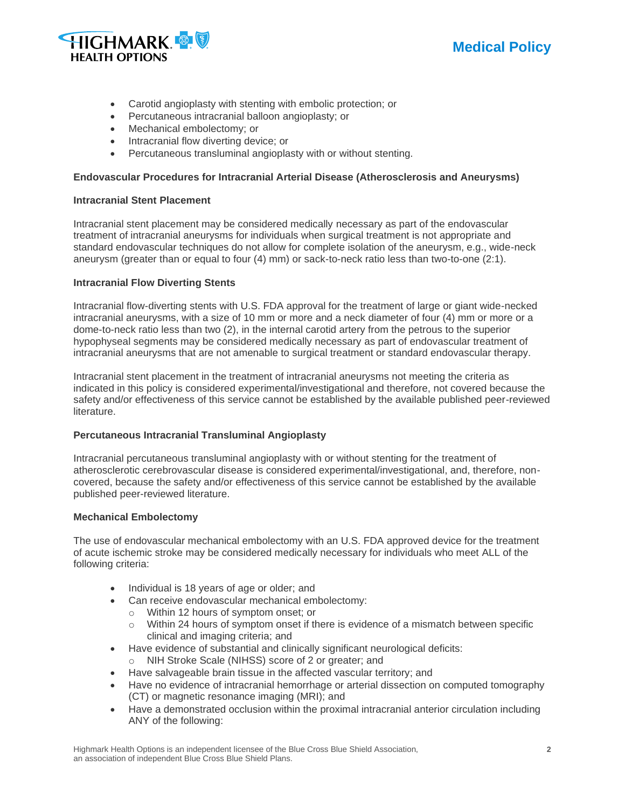



- Carotid angioplasty with stenting with embolic protection; or
- Percutaneous intracranial balloon angioplasty; or
- Mechanical embolectomy; or
- Intracranial flow diverting device; or
- Percutaneous transluminal angioplasty with or without stenting.

### **Endovascular Procedures for Intracranial Arterial Disease (Atherosclerosis and Aneurysms)**

#### **Intracranial Stent Placement**

Intracranial stent placement may be considered medically necessary as part of the endovascular treatment of intracranial aneurysms for individuals when surgical treatment is not appropriate and standard endovascular techniques do not allow for complete isolation of the aneurysm, e.g., wide-neck aneurysm (greater than or equal to four (4) mm) or sack-to-neck ratio less than two-to-one (2:1).

### **Intracranial Flow Diverting Stents**

Intracranial flow-diverting stents with U.S. FDA approval for the treatment of large or giant wide-necked intracranial aneurysms, with a size of 10 mm or more and a neck diameter of four (4) mm or more or a dome-to-neck ratio less than two (2), in the internal carotid artery from the petrous to the superior hypophyseal segments may be considered medically necessary as part of endovascular treatment of intracranial aneurysms that are not amenable to surgical treatment or standard endovascular therapy.

Intracranial stent placement in the treatment of intracranial aneurysms not meeting the criteria as indicated in this policy is considered experimental/investigational and therefore, not covered because the safety and/or effectiveness of this service cannot be established by the available published peer-reviewed literature.

## **Percutaneous Intracranial Transluminal Angioplasty**

Intracranial percutaneous transluminal angioplasty with or without stenting for the treatment of atherosclerotic cerebrovascular disease is considered experimental/investigational, and, therefore, noncovered, because the safety and/or effectiveness of this service cannot be established by the available published peer-reviewed literature.

#### **Mechanical Embolectomy**

The use of endovascular mechanical embolectomy with an U.S. FDA approved device for the treatment of acute ischemic stroke may be considered medically necessary for individuals who meet ALL of the following criteria:

- Individual is 18 years of age or older; and
- Can receive endovascular mechanical embolectomy:
	- o Within 12 hours of symptom onset; or
	- o Within 24 hours of symptom onset if there is evidence of a mismatch between specific clinical and imaging criteria; and
- Have evidence of substantial and clinically significant neurological deficits:
	- o NIH Stroke Scale (NIHSS) score of 2 or greater; and
- Have salvageable brain tissue in the affected vascular territory; and
- Have no evidence of intracranial hemorrhage or arterial dissection on computed tomography (CT) or magnetic resonance imaging (MRI); and
- Have a demonstrated occlusion within the proximal intracranial anterior circulation including ANY of the following: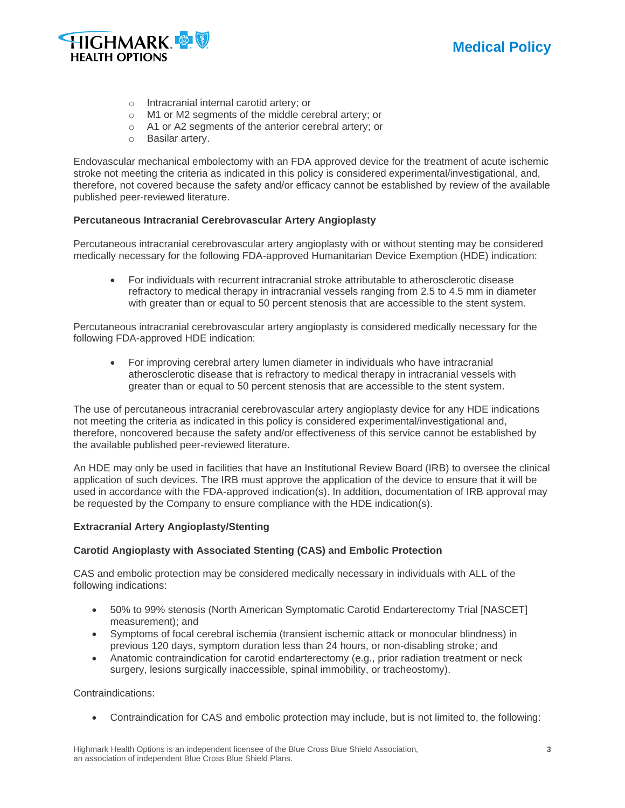

- o Intracranial internal carotid artery; or
- o M1 or M2 segments of the middle cerebral artery; or
- o A1 or A2 segments of the anterior cerebral artery; or
- o Basilar artery.

Endovascular mechanical embolectomy with an FDA approved device for the treatment of acute ischemic stroke not meeting the criteria as indicated in this policy is considered experimental/investigational, and, therefore, not covered because the safety and/or efficacy cannot be established by review of the available published peer-reviewed literature.

## **Percutaneous Intracranial Cerebrovascular Artery Angioplasty**

Percutaneous intracranial cerebrovascular artery angioplasty with or without stenting may be considered medically necessary for the following FDA-approved Humanitarian Device Exemption (HDE) indication:

• For individuals with recurrent intracranial stroke attributable to atherosclerotic disease refractory to medical therapy in intracranial vessels ranging from 2.5 to 4.5 mm in diameter with greater than or equal to 50 percent stenosis that are accessible to the stent system.

Percutaneous intracranial cerebrovascular artery angioplasty is considered medically necessary for the following FDA-approved HDE indication:

• For improving cerebral artery lumen diameter in individuals who have intracranial atherosclerotic disease that is refractory to medical therapy in intracranial vessels with greater than or equal to 50 percent stenosis that are accessible to the stent system.

The use of percutaneous intracranial cerebrovascular artery angioplasty device for any HDE indications not meeting the criteria as indicated in this policy is considered experimental/investigational and, therefore, noncovered because the safety and/or effectiveness of this service cannot be established by the available published peer-reviewed literature.

An HDE may only be used in facilities that have an Institutional Review Board (IRB) to oversee the clinical application of such devices. The IRB must approve the application of the device to ensure that it will be used in accordance with the FDA-approved indication(s). In addition, documentation of IRB approval may be requested by the Company to ensure compliance with the HDE indication(s).

## **Extracranial Artery Angioplasty/Stenting**

## **Carotid Angioplasty with Associated Stenting (CAS) and Embolic Protection**

CAS and embolic protection may be considered medically necessary in individuals with ALL of the following indications:

- 50% to 99% stenosis (North American Symptomatic Carotid Endarterectomy Trial [NASCET] measurement); and
- Symptoms of focal cerebral ischemia (transient ischemic attack or monocular blindness) in previous 120 days, symptom duration less than 24 hours, or non-disabling stroke; and
- Anatomic contraindication for carotid endarterectomy (e.g., prior radiation treatment or neck surgery, lesions surgically inaccessible, spinal immobility, or tracheostomy).

Contraindications:

• Contraindication for CAS and embolic protection may include, but is not limited to, the following: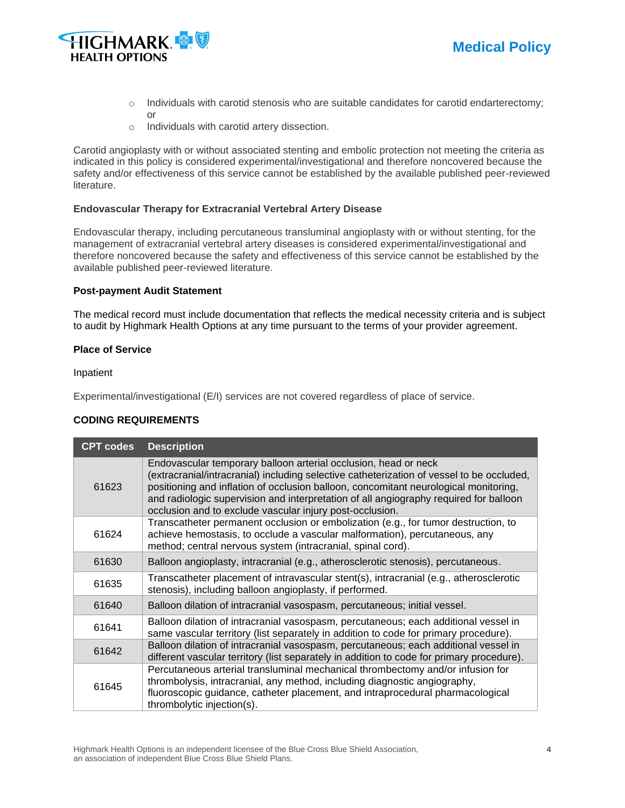



or

- $\circ$  Individuals with carotid stenosis who are suitable candidates for carotid endarterectomy;
- o Individuals with carotid artery dissection.

Carotid angioplasty with or without associated stenting and embolic protection not meeting the criteria as indicated in this policy is considered experimental/investigational and therefore noncovered because the safety and/or effectiveness of this service cannot be established by the available published peer-reviewed literature.

### **Endovascular Therapy for Extracranial Vertebral Artery Disease**

Endovascular therapy, including percutaneous transluminal angioplasty with or without stenting, for the management of extracranial vertebral artery diseases is considered experimental/investigational and therefore noncovered because the safety and effectiveness of this service cannot be established by the available published peer-reviewed literature.

#### **Post-payment Audit Statement**

The medical record must include documentation that reflects the medical necessity criteria and is subject to audit by Highmark Health Options at any time pursuant to the terms of your provider agreement.

### **Place of Service**

Inpatient

Experimental/investigational (E/I) services are not covered regardless of place of service.

## **CODING REQUIREMENTS**

| <b>CPT codes</b> | <b>Description</b>                                                                                                                                                                                                                                                                                                                                                                                        |
|------------------|-----------------------------------------------------------------------------------------------------------------------------------------------------------------------------------------------------------------------------------------------------------------------------------------------------------------------------------------------------------------------------------------------------------|
| 61623            | Endovascular temporary balloon arterial occlusion, head or neck<br>(extracranial/intracranial) including selective catheterization of vessel to be occluded,<br>positioning and inflation of occlusion balloon, concomitant neurological monitoring,<br>and radiologic supervision and interpretation of all angiography required for balloon<br>occlusion and to exclude vascular injury post-occlusion. |
| 61624            | Transcatheter permanent occlusion or embolization (e.g., for tumor destruction, to<br>achieve hemostasis, to occlude a vascular malformation), percutaneous, any<br>method; central nervous system (intracranial, spinal cord).                                                                                                                                                                           |
| 61630            | Balloon angioplasty, intracranial (e.g., atherosclerotic stenosis), percutaneous.                                                                                                                                                                                                                                                                                                                         |
| 61635            | Transcatheter placement of intravascular stent(s), intracranial (e.g., atherosclerotic<br>stenosis), including balloon angioplasty, if performed.                                                                                                                                                                                                                                                         |
| 61640            | Balloon dilation of intracranial vasospasm, percutaneous; initial vessel.                                                                                                                                                                                                                                                                                                                                 |
| 61641            | Balloon dilation of intracranial vasospasm, percutaneous; each additional vessel in<br>same vascular territory (list separately in addition to code for primary procedure).                                                                                                                                                                                                                               |
| 61642            | Balloon dilation of intracranial vasospasm, percutaneous; each additional vessel in<br>different vascular territory (list separately in addition to code for primary procedure).                                                                                                                                                                                                                          |
| 61645            | Percutaneous arterial transluminal mechanical thrombectomy and/or infusion for<br>thrombolysis, intracranial, any method, including diagnostic angiography,<br>fluoroscopic guidance, catheter placement, and intraprocedural pharmacological<br>thrombolytic injection(s).                                                                                                                               |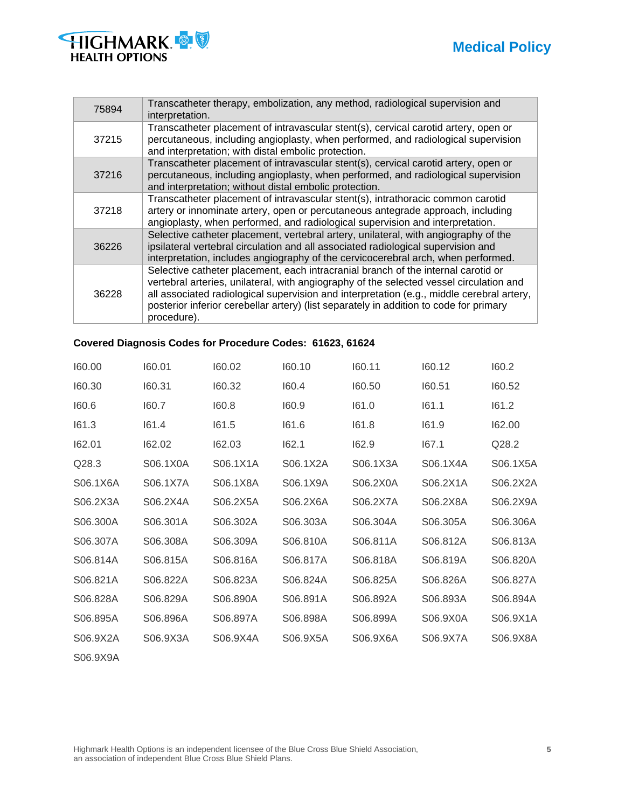

| 75894 | Transcatheter therapy, embolization, any method, radiological supervision and<br>interpretation.                                                                                                                                                                                                                                                                                   |
|-------|------------------------------------------------------------------------------------------------------------------------------------------------------------------------------------------------------------------------------------------------------------------------------------------------------------------------------------------------------------------------------------|
| 37215 | Transcatheter placement of intravascular stent(s), cervical carotid artery, open or<br>percutaneous, including angioplasty, when performed, and radiological supervision<br>and interpretation; with distal embolic protection.                                                                                                                                                    |
| 37216 | Transcatheter placement of intravascular stent(s), cervical carotid artery, open or<br>percutaneous, including angioplasty, when performed, and radiological supervision<br>and interpretation; without distal embolic protection.                                                                                                                                                 |
| 37218 | Transcatheter placement of intravascular stent(s), intrathoracic common carotid<br>artery or innominate artery, open or percutaneous antegrade approach, including<br>angioplasty, when performed, and radiological supervision and interpretation.                                                                                                                                |
| 36226 | Selective catheter placement, vertebral artery, unilateral, with angiography of the<br>ipsilateral vertebral circulation and all associated radiological supervision and<br>interpretation, includes angiography of the cervicocerebral arch, when performed.                                                                                                                      |
| 36228 | Selective catheter placement, each intracranial branch of the internal carotid or<br>vertebral arteries, unilateral, with angiography of the selected vessel circulation and<br>all associated radiological supervision and interpretation (e.g., middle cerebral artery,<br>posterior inferior cerebellar artery) (list separately in addition to code for primary<br>procedure). |

## **Covered Diagnosis Codes for Procedure Codes: 61623, 61624**

| 160.00   | 160.01   | 160.02   | 160.10   | 160.11   | 160.12   | 160.2    |
|----------|----------|----------|----------|----------|----------|----------|
| 160.30   | 160.31   | 160.32   | 160.4    | 160.50   | 160.51   | 160.52   |
| 160.6    | 160.7    | 160.8    | 160.9    | 161.0    | 161.1    | 161.2    |
| 161.3    | 161.4    | 161.5    | 161.6    | 161.8    | 161.9    | 162.00   |
| 162.01   | 162.02   | 162.03   | 162.1    | 162.9    | 167.1    | Q28.2    |
| Q28.3    | S06.1X0A | S06.1X1A | S06.1X2A | S06.1X3A | S06.1X4A | S06.1X5A |
| S06.1X6A | S06.1X7A | S06.1X8A | S06.1X9A | S06.2X0A | S06.2X1A | S06.2X2A |
| S06.2X3A | S06.2X4A | S06.2X5A | S06.2X6A | S06.2X7A | S06.2X8A | S06.2X9A |
| S06.300A | S06.301A | S06.302A | S06.303A | S06.304A | S06.305A | S06.306A |
| S06.307A | S06.308A | S06.309A | S06.810A | S06.811A | S06.812A | S06.813A |
| S06.814A | S06.815A | S06.816A | S06.817A | S06.818A | S06.819A | S06.820A |
| S06.821A | S06.822A | S06.823A | S06.824A | S06.825A | S06.826A | S06.827A |
| S06.828A | S06.829A | S06.890A | S06.891A | S06.892A | S06.893A | S06.894A |
| S06.895A | S06.896A | S06.897A | S06.898A | S06.899A | S06.9X0A | S06.9X1A |
| S06.9X2A | S06.9X3A | S06.9X4A | S06.9X5A | S06.9X6A | S06.9X7A | S06.9X8A |
| S06.9X9A |          |          |          |          |          |          |

Highmark Health Options is an independent licensee of the Blue Cross Blue Shield Association, **5** an association of independent Blue Cross Blue Shield Plans.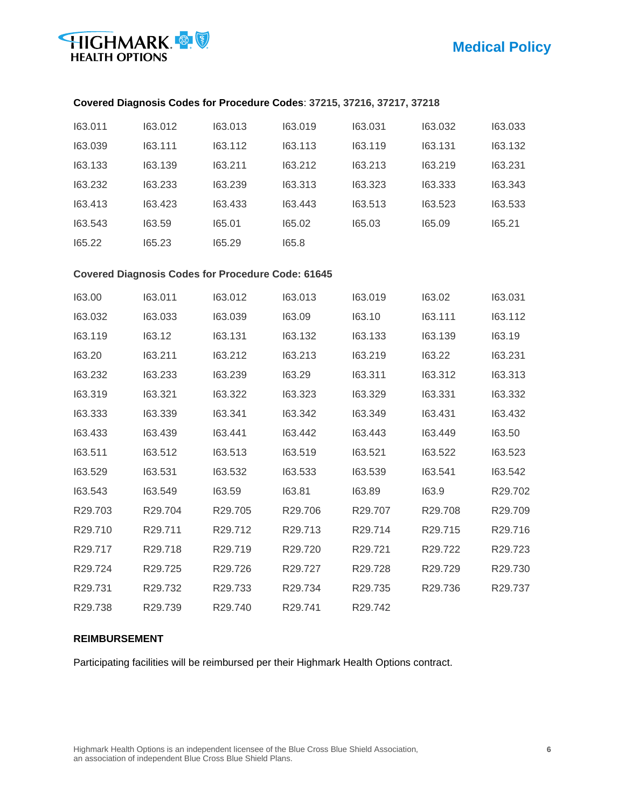

## **Covered Diagnosis Codes for Procedure Codes**: **37215, 37216, 37217, 37218**

| 163.011 | 163.012 | 163.013 | 163.019 | 163.031 | 163.032 | 163.033 |
|---------|---------|---------|---------|---------|---------|---------|
| 163.039 | 163.111 | 163.112 | 163.113 | 163.119 | 163.131 | 163.132 |
| 163.133 | 163.139 | 163.211 | 163.212 | 163.213 | 163.219 | 163.231 |
| 163.232 | 163.233 | 163.239 | 163.313 | 163.323 | 163.333 | 163.343 |
| 163.413 | 163.423 | 163.433 | 163.443 | 163.513 | 163.523 | 163.533 |
| 163.543 | 163.59  | 165.01  | 165.02  | 165.03  | 165.09  | 165.21  |
| 165.22  | 165.23  | 165.29  | 165.8   |         |         |         |

### **Covered Diagnosis Codes for Procedure Code: 61645**

| 163.00              | 163.011             | 163.012             | 163.013             | 163.019             | 163.02              | 163.031 |
|---------------------|---------------------|---------------------|---------------------|---------------------|---------------------|---------|
| 163.032             | 163.033             | 163.039             | 163.09              | 163.10              | 163.111             | 163.112 |
| 163.119             | 163.12              | 163.131             | 163.132             | 163.133             | 163.139             | 163.19  |
| 163.20              | 163.211             | 163.212             | 163.213             | 163.219             | 163.22              | 163.231 |
| 163.232             | 163.233             | 163.239             | 163.29              | 163.311             | 163.312             | 163.313 |
| 163.319             | 163.321             | 163.322             | 163.323             | 163.329             | 163.331             | 163.332 |
| 163.333             | 163.339             | 163.341             | 163.342             | 163.349             | 163.431             | 163.432 |
| 163.433             | 163.439             | 163.441             | 163.442             | 163.443             | 163.449             | 163.50  |
| 163.511             | 163.512             | 163.513             | 163.519             | 163.521             | 163.522             | 163.523 |
| 163.529             | 163.531             | 163.532             | 163.533             | 163.539             | 163.541             | 163.542 |
| 163.543             | 163.549             | 163.59              | 163.81              | 163.89              | 163.9               | R29.702 |
| R <sub>29.703</sub> | R29.704             | R <sub>29.705</sub> | R29.706             | R <sub>29.707</sub> | R <sub>29.708</sub> | R29.709 |
| R <sub>29.710</sub> | R29.711             | R <sub>29.712</sub> | R <sub>29.713</sub> | R29.714             | R <sub>29.715</sub> | R29.716 |
| R <sub>29.717</sub> | R <sub>29.718</sub> | R29.719             | R <sub>29.720</sub> | R <sub>29.721</sub> | R <sub>29.722</sub> | R29.723 |
| R29.724             | R <sub>29.725</sub> | R29.726             | R29.727             | R <sub>29.728</sub> | R <sub>29.729</sub> | R29.730 |
| R <sub>29.731</sub> | R <sub>29.732</sub> | R29.733             | R29.734             | R29.735             | R29.736             | R29.737 |
| R29.738             | R <sub>29.739</sub> | R29.740             | R <sub>29.741</sub> | R <sub>29.742</sub> |                     |         |

#### **REIMBURSEMENT**

Participating facilities will be reimbursed per their Highmark Health Options contract.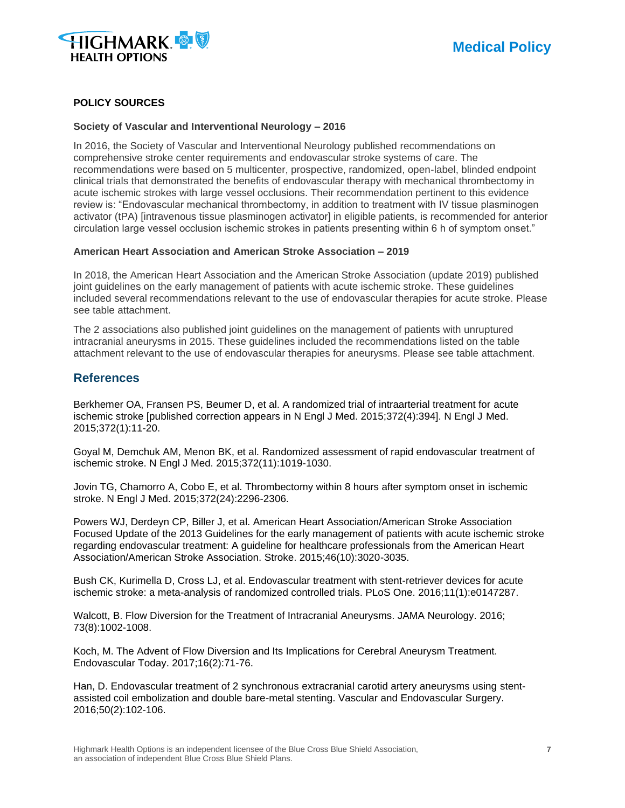

## **POLICY SOURCES**

#### **Society of Vascular and Interventional Neurology – 2016**

In 2016, the Society of Vascular and Interventional Neurology published recommendations on comprehensive stroke center requirements and endovascular stroke systems of care. The recommendations were based on 5 multicenter, prospective, randomized, open-label, blinded endpoint clinical trials that demonstrated the benefits of endovascular therapy with mechanical thrombectomy in acute ischemic strokes with large vessel occlusions. Their recommendation pertinent to this evidence review is: "Endovascular mechanical thrombectomy, in addition to treatment with IV tissue plasminogen activator (tPA) [intravenous tissue plasminogen activator] in eligible patients, is recommended for anterior circulation large vessel occlusion ischemic strokes in patients presenting within 6 h of symptom onset."

#### **American Heart Association and American Stroke Association – 2019**

In 2018, the American Heart Association and the American Stroke Association (update 2019) published joint guidelines on the early management of patients with acute ischemic stroke. These guidelines included several recommendations relevant to the use of endovascular therapies for acute stroke. Please see table attachment.

The 2 associations also published joint guidelines on the management of patients with unruptured intracranial aneurysms in 2015. These guidelines included the recommendations listed on the table attachment relevant to the use of endovascular therapies for aneurysms. Please see table attachment.

## **References**

Berkhemer OA, Fransen PS, Beumer D, et al. A randomized trial of intraarterial treatment for acute ischemic stroke [published correction appears in N Engl J Med. 2015;372(4):394]. N Engl J Med. 2015;372(1):11-20.

Goyal M, Demchuk AM, Menon BK, et al. Randomized assessment of rapid endovascular treatment of ischemic stroke. N Engl J Med. 2015;372(11):1019-1030.

Jovin TG, Chamorro A, Cobo E, et al. Thrombectomy within 8 hours after symptom onset in ischemic stroke. N Engl J Med. 2015;372(24):2296-2306.

Powers WJ, Derdeyn CP, Biller J, et al. American Heart Association/American Stroke Association Focused Update of the 2013 Guidelines for the early management of patients with acute ischemic stroke regarding endovascular treatment: A guideline for healthcare professionals from the American Heart Association/American Stroke Association. Stroke. 2015;46(10):3020-3035.

Bush CK, Kurimella D, Cross LJ, et al. Endovascular treatment with stent-retriever devices for acute ischemic stroke: a meta-analysis of randomized controlled trials. PLoS One. 2016;11(1):e0147287.

Walcott, B. Flow Diversion for the Treatment of Intracranial Aneurysms. JAMA Neurology. 2016; 73(8):1002-1008.

Koch, M. The Advent of Flow Diversion and Its Implications for Cerebral Aneurysm Treatment. Endovascular Today. 2017;16(2):71-76.

Han, D. Endovascular treatment of 2 synchronous extracranial carotid artery aneurysms using stentassisted coil embolization and double bare-metal stenting. Vascular and Endovascular Surgery. 2016;50(2):102-106.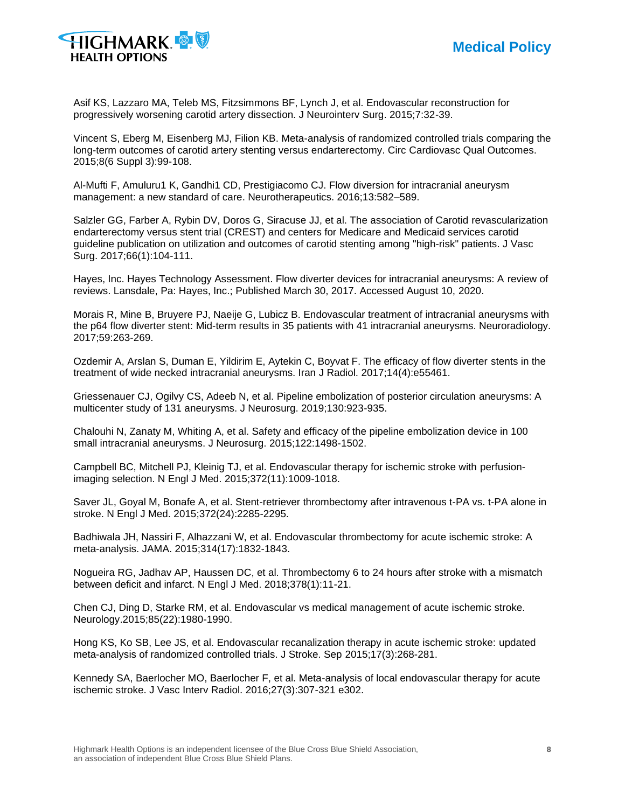

Asif KS, Lazzaro MA, Teleb MS, Fitzsimmons BF, Lynch J, et al. Endovascular reconstruction for progressively worsening carotid artery dissection. J Neurointerv Surg. 2015;7:32-39.

Vincent S, Eberg M, Eisenberg MJ, Filion KB. Meta-analysis of randomized controlled trials comparing the long-term outcomes of carotid artery stenting versus endarterectomy. Circ Cardiovasc Qual Outcomes. 2015;8(6 Suppl 3):99-108.

Al-Mufti F, Amuluru1 K, Gandhi1 CD, Prestigiacomo CJ. Flow diversion for intracranial aneurysm management: a new standard of care. Neurotherapeutics. 2016;13:582–589.

Salzler GG, Farber A, Rybin DV, Doros G, Siracuse JJ, et al. The association of Carotid revascularization endarterectomy versus stent trial (CREST) and centers for Medicare and Medicaid services carotid guideline publication on utilization and outcomes of carotid stenting among "high-risk" patients. J Vasc Surg. 2017;66(1):104-111.

Hayes, Inc. Hayes Technology Assessment. Flow diverter devices for intracranial aneurysms: A review of reviews. Lansdale, Pa: Hayes, Inc.; Published March 30, 2017. Accessed August 10, 2020.

Morais R, Mine B, Bruyere PJ, Naeije G, Lubicz B. Endovascular treatment of intracranial aneurysms with the p64 flow diverter stent: Mid-term results in 35 patients with 41 intracranial aneurysms. Neuroradiology. 2017;59:263-269.

Ozdemir A, Arslan S, Duman E, Yildirim E, Aytekin C, Boyvat F. The efficacy of flow diverter stents in the treatment of wide necked intracranial aneurysms. Iran J Radiol. 2017;14(4):e55461.

Griessenauer CJ, Ogilvy CS, Adeeb N, et al. Pipeline embolization of posterior circulation aneurysms: A multicenter study of 131 aneurysms. J Neurosurg. 2019;130:923-935.

Chalouhi N, Zanaty M, Whiting A, et al. Safety and efficacy of the pipeline embolization device in 100 small intracranial aneurysms. J Neurosurg. 2015;122:1498-1502.

Campbell BC, Mitchell PJ, Kleinig TJ, et al. Endovascular therapy for ischemic stroke with perfusionimaging selection. N Engl J Med. 2015;372(11):1009-1018.

Saver JL, Goyal M, Bonafe A, et al. Stent-retriever thrombectomy after intravenous t-PA vs. t-PA alone in stroke. N Engl J Med. 2015;372(24):2285-2295.

Badhiwala JH, Nassiri F, Alhazzani W, et al. Endovascular thrombectomy for acute ischemic stroke: A meta-analysis. JAMA. 2015;314(17):1832-1843.

Nogueira RG, Jadhav AP, Haussen DC, et al. Thrombectomy 6 to 24 hours after stroke with a mismatch between deficit and infarct. N Engl J Med. 2018;378(1):11-21.

Chen CJ, Ding D, Starke RM, et al. Endovascular vs medical management of acute ischemic stroke. Neurology.2015;85(22):1980-1990.

Hong KS, Ko SB, Lee JS, et al. Endovascular recanalization therapy in acute ischemic stroke: updated meta-analysis of randomized controlled trials. J Stroke. Sep 2015;17(3):268-281.

Kennedy SA, Baerlocher MO, Baerlocher F, et al. Meta-analysis of local endovascular therapy for acute ischemic stroke. J Vasc Interv Radiol. 2016;27(3):307-321 e302.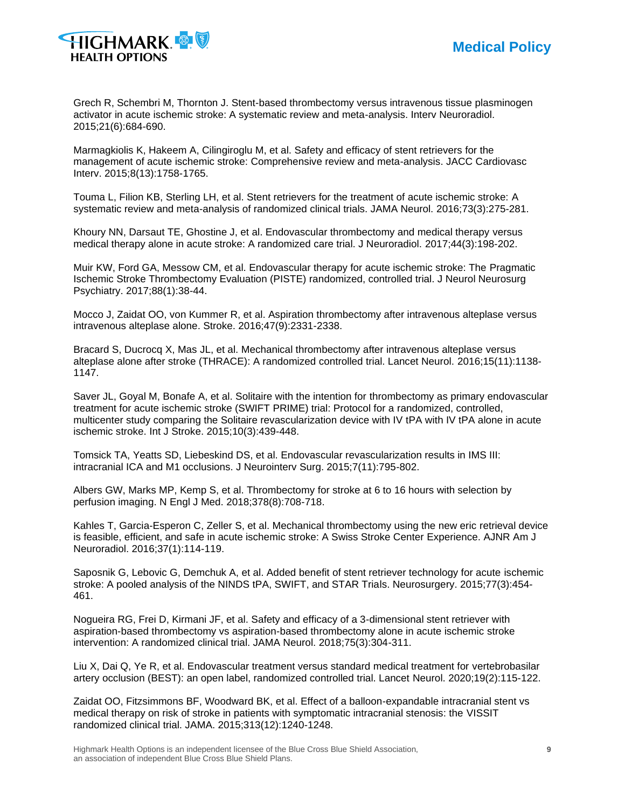

Grech R, Schembri M, Thornton J. Stent-based thrombectomy versus intravenous tissue plasminogen activator in acute ischemic stroke: A systematic review and meta-analysis. Interv Neuroradiol. 2015;21(6):684-690.

Marmagkiolis K, Hakeem A, Cilingiroglu M, et al. Safety and efficacy of stent retrievers for the management of acute ischemic stroke: Comprehensive review and meta-analysis. JACC Cardiovasc Interv. 2015;8(13):1758-1765.

Touma L, Filion KB, Sterling LH, et al. Stent retrievers for the treatment of acute ischemic stroke: A systematic review and meta-analysis of randomized clinical trials. JAMA Neurol. 2016;73(3):275-281.

Khoury NN, Darsaut TE, Ghostine J, et al. Endovascular thrombectomy and medical therapy versus medical therapy alone in acute stroke: A randomized care trial. J Neuroradiol. 2017;44(3):198-202.

Muir KW, Ford GA, Messow CM, et al. Endovascular therapy for acute ischemic stroke: The Pragmatic Ischemic Stroke Thrombectomy Evaluation (PISTE) randomized, controlled trial. J Neurol Neurosurg Psychiatry. 2017;88(1):38-44.

Mocco J, Zaidat OO, von Kummer R, et al. Aspiration thrombectomy after intravenous alteplase versus intravenous alteplase alone. Stroke. 2016;47(9):2331-2338.

Bracard S, Ducrocq X, Mas JL, et al. Mechanical thrombectomy after intravenous alteplase versus alteplase alone after stroke (THRACE): A randomized controlled trial. Lancet Neurol. 2016;15(11):1138- 1147.

Saver JL, Goyal M, Bonafe A, et al. Solitaire with the intention for thrombectomy as primary endovascular treatment for acute ischemic stroke (SWIFT PRIME) trial: Protocol for a randomized, controlled, multicenter study comparing the Solitaire revascularization device with IV tPA with IV tPA alone in acute ischemic stroke. Int J Stroke. 2015;10(3):439-448.

Tomsick TA, Yeatts SD, Liebeskind DS, et al. Endovascular revascularization results in IMS III: intracranial ICA and M1 occlusions. J Neurointerv Surg. 2015;7(11):795-802.

Albers GW, Marks MP, Kemp S, et al. Thrombectomy for stroke at 6 to 16 hours with selection by perfusion imaging. N Engl J Med. 2018;378(8):708-718.

Kahles T, Garcia-Esperon C, Zeller S, et al. Mechanical thrombectomy using the new eric retrieval device is feasible, efficient, and safe in acute ischemic stroke: A Swiss Stroke Center Experience. AJNR Am J Neuroradiol. 2016;37(1):114-119.

Saposnik G, Lebovic G, Demchuk A, et al. Added benefit of stent retriever technology for acute ischemic stroke: A pooled analysis of the NINDS tPA, SWIFT, and STAR Trials. Neurosurgery. 2015;77(3):454- 461.

Nogueira RG, Frei D, Kirmani JF, et al. Safety and efficacy of a 3-dimensional stent retriever with aspiration-based thrombectomy vs aspiration-based thrombectomy alone in acute ischemic stroke intervention: A randomized clinical trial. JAMA Neurol. 2018;75(3):304-311.

Liu X, Dai Q, Ye R, et al. Endovascular treatment versus standard medical treatment for vertebrobasilar artery occlusion (BEST): an open label, randomized controlled trial. Lancet Neurol. 2020;19(2):115-122.

Zaidat OO, Fitzsimmons BF, Woodward BK, et al. Effect of a balloon-expandable intracranial stent vs medical therapy on risk of stroke in patients with symptomatic intracranial stenosis: the VISSIT randomized clinical trial. JAMA. 2015;313(12):1240-1248.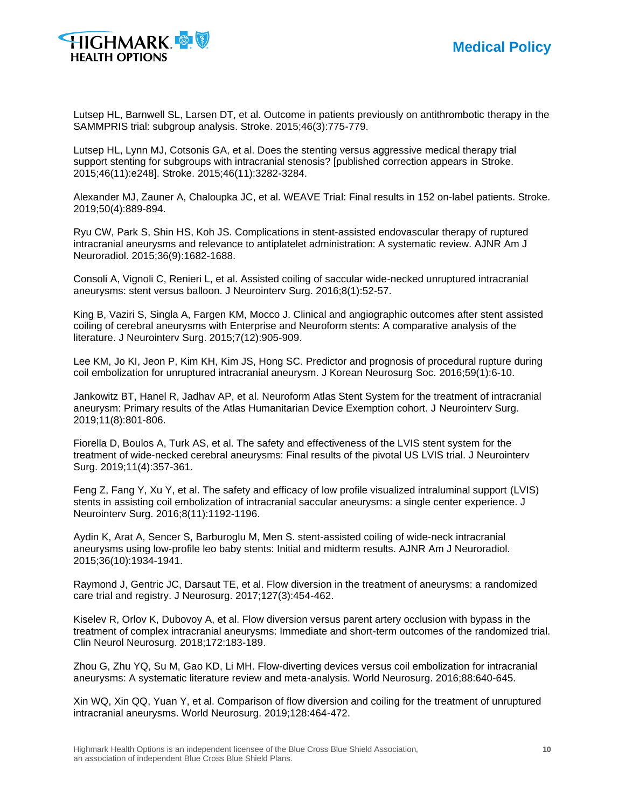

Lutsep HL, Barnwell SL, Larsen DT, et al. Outcome in patients previously on antithrombotic therapy in the SAMMPRIS trial: subgroup analysis. Stroke. 2015;46(3):775-779.

Lutsep HL, Lynn MJ, Cotsonis GA, et al. Does the stenting versus aggressive medical therapy trial support stenting for subgroups with intracranial stenosis? [published correction appears in Stroke. 2015;46(11):e248]. Stroke. 2015;46(11):3282-3284.

Alexander MJ, Zauner A, Chaloupka JC, et al. WEAVE Trial: Final results in 152 on-label patients. Stroke. 2019;50(4):889-894.

Ryu CW, Park S, Shin HS, Koh JS. Complications in stent-assisted endovascular therapy of ruptured intracranial aneurysms and relevance to antiplatelet administration: A systematic review. AJNR Am J Neuroradiol. 2015;36(9):1682-1688.

Consoli A, Vignoli C, Renieri L, et al. Assisted coiling of saccular wide-necked unruptured intracranial aneurysms: stent versus balloon. J Neurointerv Surg. 2016;8(1):52-57.

King B, Vaziri S, Singla A, Fargen KM, Mocco J. Clinical and angiographic outcomes after stent assisted coiling of cerebral aneurysms with Enterprise and Neuroform stents: A comparative analysis of the literature. J Neurointerv Surg. 2015;7(12):905-909.

Lee KM, Jo KI, Jeon P, Kim KH, Kim JS, Hong SC. Predictor and prognosis of procedural rupture during coil embolization for unruptured intracranial aneurysm. J Korean Neurosurg Soc. 2016;59(1):6-10.

Jankowitz BT, Hanel R, Jadhav AP, et al. Neuroform Atlas Stent System for the treatment of intracranial aneurysm: Primary results of the Atlas Humanitarian Device Exemption cohort. J Neurointerv Surg. 2019;11(8):801-806.

Fiorella D, Boulos A, Turk AS, et al. The safety and effectiveness of the LVIS stent system for the treatment of wide-necked cerebral aneurysms: Final results of the pivotal US LVIS trial. J Neurointerv Surg. 2019;11(4):357-361.

Feng Z, Fang Y, Xu Y, et al. The safety and efficacy of low profile visualized intraluminal support (LVIS) stents in assisting coil embolization of intracranial saccular aneurysms: a single center experience. J Neurointerv Surg. 2016;8(11):1192-1196.

Aydin K, Arat A, Sencer S, Barburoglu M, Men S. stent-assisted coiling of wide-neck intracranial aneurysms using low-profile leo baby stents: Initial and midterm results. AJNR Am J Neuroradiol. 2015;36(10):1934-1941.

Raymond J, Gentric JC, Darsaut TE, et al. Flow diversion in the treatment of aneurysms: a randomized care trial and registry. J Neurosurg. 2017;127(3):454-462.

Kiselev R, Orlov K, Dubovoy A, et al. Flow diversion versus parent artery occlusion with bypass in the treatment of complex intracranial aneurysms: Immediate and short-term outcomes of the randomized trial. Clin Neurol Neurosurg. 2018;172:183-189.

Zhou G, Zhu YQ, Su M, Gao KD, Li MH. Flow-diverting devices versus coil embolization for intracranial aneurysms: A systematic literature review and meta-analysis. World Neurosurg. 2016;88:640-645.

Xin WQ, Xin QQ, Yuan Y, et al. Comparison of flow diversion and coiling for the treatment of unruptured intracranial aneurysms. World Neurosurg. 2019;128:464-472.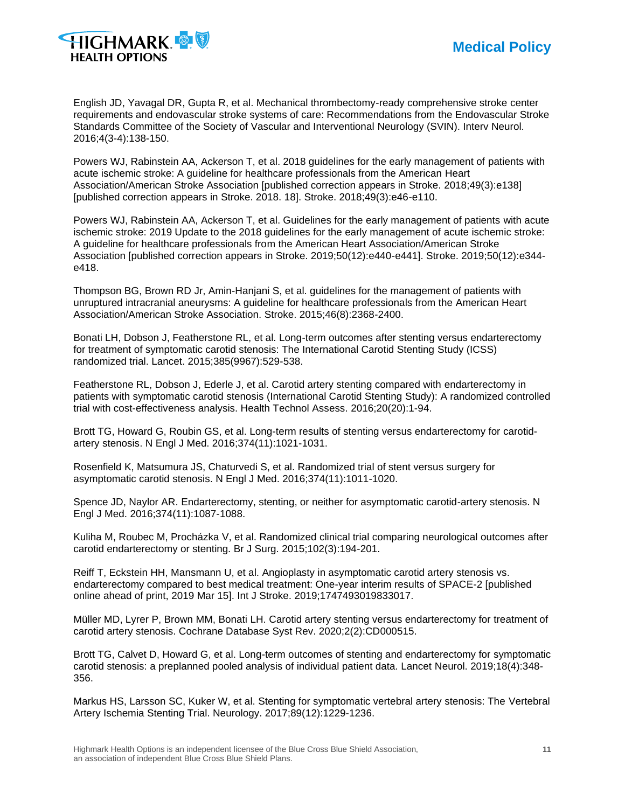

English JD, Yavagal DR, Gupta R, et al. Mechanical thrombectomy-ready comprehensive stroke center requirements and endovascular stroke systems of care: Recommendations from the Endovascular Stroke Standards Committee of the Society of Vascular and Interventional Neurology (SVIN). Interv Neurol. 2016;4(3-4):138-150.

Powers WJ, Rabinstein AA, Ackerson T, et al. 2018 guidelines for the early management of patients with acute ischemic stroke: A guideline for healthcare professionals from the American Heart Association/American Stroke Association [published correction appears in Stroke. 2018;49(3):e138] [published correction appears in Stroke. 2018. 18]. Stroke. 2018;49(3):e46-e110.

Powers WJ, Rabinstein AA, Ackerson T, et al. Guidelines for the early management of patients with acute ischemic stroke: 2019 Update to the 2018 guidelines for the early management of acute ischemic stroke: A guideline for healthcare professionals from the American Heart Association/American Stroke Association [published correction appears in Stroke. 2019;50(12):e440-e441]. Stroke. 2019;50(12):e344 e418.

Thompson BG, Brown RD Jr, Amin-Hanjani S, et al. guidelines for the management of patients with unruptured intracranial aneurysms: A guideline for healthcare professionals from the American Heart Association/American Stroke Association. Stroke. 2015;46(8):2368-2400.

Bonati LH, Dobson J, Featherstone RL, et al. Long-term outcomes after stenting versus endarterectomy for treatment of symptomatic carotid stenosis: The International Carotid Stenting Study (ICSS) randomized trial. Lancet. 2015;385(9967):529-538.

Featherstone RL, Dobson J, Ederle J, et al. Carotid artery stenting compared with endarterectomy in patients with symptomatic carotid stenosis (International Carotid Stenting Study): A randomized controlled trial with cost-effectiveness analysis. Health Technol Assess. 2016;20(20):1-94.

Brott TG, Howard G, Roubin GS, et al. Long-term results of stenting versus endarterectomy for carotidartery stenosis. N Engl J Med. 2016;374(11):1021-1031.

Rosenfield K, Matsumura JS, Chaturvedi S, et al. Randomized trial of stent versus surgery for asymptomatic carotid stenosis. N Engl J Med. 2016;374(11):1011-1020.

Spence JD, Naylor AR. Endarterectomy, stenting, or neither for asymptomatic carotid-artery stenosis. N Engl J Med. 2016;374(11):1087-1088.

Kuliha M, Roubec M, Procházka V, et al. Randomized clinical trial comparing neurological outcomes after carotid endarterectomy or stenting. Br J Surg. 2015;102(3):194-201.

Reiff T, Eckstein HH, Mansmann U, et al. Angioplasty in asymptomatic carotid artery stenosis vs. endarterectomy compared to best medical treatment: One-year interim results of SPACE-2 [published online ahead of print, 2019 Mar 15]. Int J Stroke. 2019;1747493019833017.

Müller MD, Lyrer P, Brown MM, Bonati LH. Carotid artery stenting versus endarterectomy for treatment of carotid artery stenosis. Cochrane Database Syst Rev. 2020;2(2):CD000515.

Brott TG, Calvet D, Howard G, et al. Long-term outcomes of stenting and endarterectomy for symptomatic carotid stenosis: a preplanned pooled analysis of individual patient data. Lancet Neurol. 2019;18(4):348- 356.

Markus HS, Larsson SC, Kuker W, et al. Stenting for symptomatic vertebral artery stenosis: The Vertebral Artery Ischemia Stenting Trial. Neurology. 2017;89(12):1229-1236.